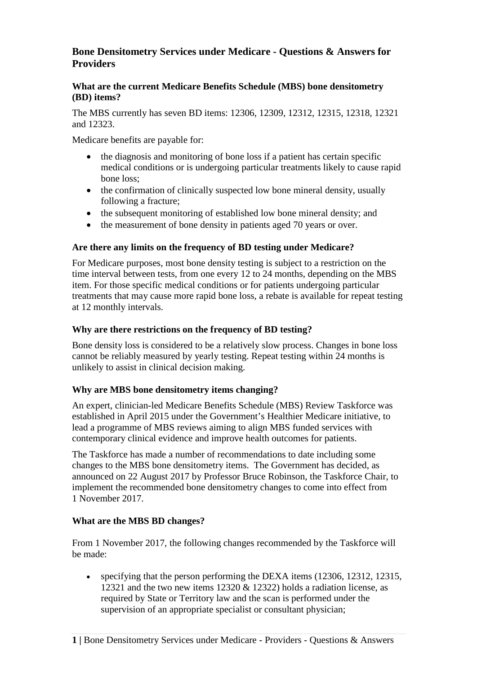# **Bone Densitometry Services under Medicare - Questions & Answers for Providers**

### **What are the current Medicare Benefits Schedule (MBS) bone densitometry (BD) items?**

The MBS currently has seven BD items: 12306, 12309, 12312, 12315, 12318, 12321 and 12323.

Medicare benefits are payable for:

- the diagnosis and monitoring of bone loss if a patient has certain specific medical conditions or is undergoing particular treatments likely to cause rapid bone loss;
- the confirmation of clinically suspected low bone mineral density, usually following a fracture;
- the subsequent monitoring of established low bone mineral density; and
- the measurement of bone density in patients aged 70 years or over.

## **Are there any limits on the frequency of BD testing under Medicare?**

For Medicare purposes, most bone density testing is subject to a restriction on the time interval between tests, from one every 12 to 24 months, depending on the MBS item. For those specific medical conditions or for patients undergoing particular treatments that may cause more rapid bone loss, a rebate is available for repeat testing at 12 monthly intervals.

## **Why are there restrictions on the frequency of BD testing?**

Bone density loss is considered to be a relatively slow process. Changes in bone loss cannot be reliably measured by yearly testing. Repeat testing within 24 months is unlikely to assist in clinical decision making.

# **Why are MBS bone densitometry items changing?**

An expert, clinician-led Medicare Benefits Schedule (MBS) Review Taskforce was established in April 2015 under the Government's Healthier Medicare initiative, to lead a programme of MBS reviews aiming to align MBS funded services with contemporary clinical evidence and improve health outcomes for patients.

The Taskforce has made a number of recommendations to date including some changes to the MBS bone densitometry items. The Government has decided, as announced on 22 August 2017 by Professor Bruce Robinson, the Taskforce Chair, to implement the recommended bone densitometry changes to come into effect from 1 November 2017.

# **What are the MBS BD changes?**

From 1 November 2017, the following changes recommended by the Taskforce will be made:

• specifying that the person performing the DEXA items (12306, 12312, 12315, 12321 and the two new items 12320 & 12322) holds a radiation license, as required by State or Territory law and the scan is performed under the supervision of an appropriate specialist or consultant physician;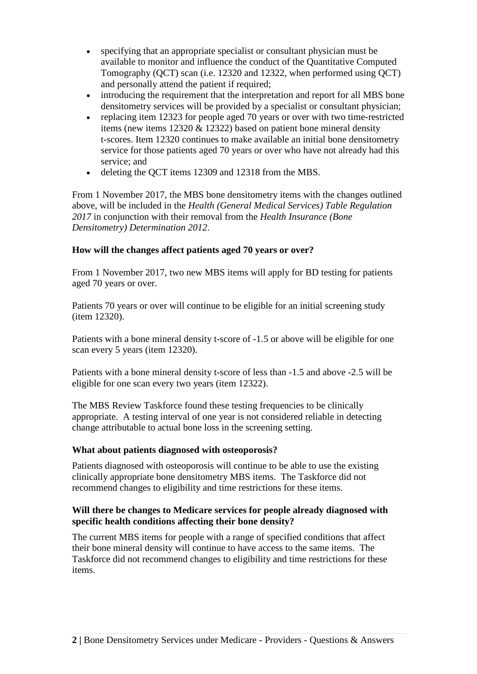- specifying that an appropriate specialist or consultant physician must be available to monitor and influence the conduct of the Quantitative Computed Tomography (QCT) scan (i.e. 12320 and 12322, when performed using QCT) and personally attend the patient if required;
- introducing the requirement that the interpretation and report for all MBS bone densitometry services will be provided by a specialist or consultant physician;
- replacing item 12323 for people aged 70 years or over with two time-restricted items (new items 12320 & 12322) based on patient bone mineral density t-scores. Item 12320 continues to make available an initial bone densitometry service for those patients aged 70 years or over who have not already had this service; and
- deleting the QCT items 12309 and 12318 from the MBS.

From 1 November 2017, the MBS bone densitometry items with the changes outlined above, will be included in the *Health (General Medical Services) Table Regulation 2017* in conjunction with their removal from the *Health Insurance (Bone Densitometry) Determination 2012*.

## **How will the changes affect patients aged 70 years or over?**

From 1 November 2017, two new MBS items will apply for BD testing for patients aged 70 years or over.

Patients 70 years or over will continue to be eligible for an initial screening study (item 12320).

Patients with a bone mineral density t-score of -1.5 or above will be eligible for one scan every 5 years (item 12320).

Patients with a bone mineral density t-score of less than -1.5 and above -2.5 will be eligible for one scan every two years (item 12322).

The MBS Review Taskforce found these testing frequencies to be clinically appropriate. A testing interval of one year is not considered reliable in detecting change attributable to actual bone loss in the screening setting.

### **What about patients diagnosed with osteoporosis?**

Patients diagnosed with osteoporosis will continue to be able to use the existing clinically appropriate bone densitometry MBS items. The Taskforce did not recommend changes to eligibility and time restrictions for these items.

### **Will there be changes to Medicare services for people already diagnosed with specific health conditions affecting their bone density?**

The current MBS items for people with a range of specified conditions that affect their bone mineral density will continue to have access to the same items. The Taskforce did not recommend changes to eligibility and time restrictions for these items.